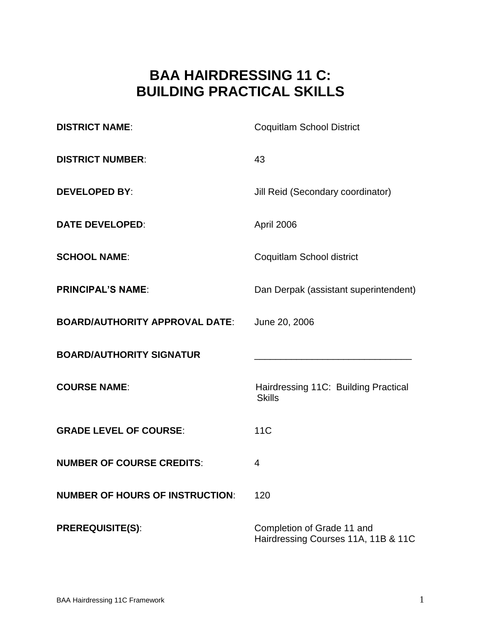# **BAA HAIRDRESSING 11 C: BUILDING PRACTICAL SKILLS**

| <b>DISTRICT NAME:</b>                  | <b>Coquitlam School District</b>                                  |  |
|----------------------------------------|-------------------------------------------------------------------|--|
| <b>DISTRICT NUMBER:</b>                | 43                                                                |  |
| <b>DEVELOPED BY:</b>                   | Jill Reid (Secondary coordinator)                                 |  |
| <b>DATE DEVELOPED:</b>                 | April 2006                                                        |  |
| <b>SCHOOL NAME:</b>                    | Coquitlam School district                                         |  |
| <b>PRINCIPAL'S NAME:</b>               | Dan Derpak (assistant superintendent)                             |  |
| <b>BOARD/AUTHORITY APPROVAL DATE:</b>  | June 20, 2006                                                     |  |
| <b>BOARD/AUTHORITY SIGNATUR</b>        |                                                                   |  |
| <b>COURSE NAME:</b>                    | Hairdressing 11C: Building Practical<br><b>Skills</b>             |  |
| <b>GRADE LEVEL OF COURSE:</b>          | <b>11C</b>                                                        |  |
| <b>NUMBER OF COURSE CREDITS:</b>       | 4                                                                 |  |
| <b>NUMBER OF HOURS OF INSTRUCTION:</b> | 120                                                               |  |
| <b>PREREQUISITE(S):</b>                | Completion of Grade 11 and<br>Hairdressing Courses 11A, 11B & 11C |  |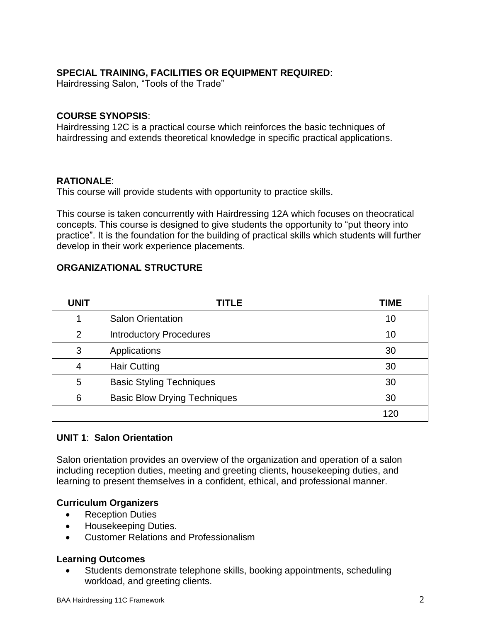# **SPECIAL TRAINING, FACILITIES OR EQUIPMENT REQUIRED**:

Hairdressing Salon, "Tools of the Trade"

## **COURSE SYNOPSIS**:

Hairdressing 12C is a practical course which reinforces the basic techniques of hairdressing and extends theoretical knowledge in specific practical applications.

### **RATIONALE**:

This course will provide students with opportunity to practice skills.

This course is taken concurrently with Hairdressing 12A which focuses on theocratical concepts. This course is designed to give students the opportunity to "put theory into practice". It is the foundation for the building of practical skills which students will further develop in their work experience placements.

# **ORGANIZATIONAL STRUCTURE**

| <b>UNIT</b> | <b>TITLE</b>                        | <b>TIME</b> |
|-------------|-------------------------------------|-------------|
|             | <b>Salon Orientation</b>            | 10          |
| ◠           | <b>Introductory Procedures</b>      | 10          |
| 3           | Applications                        | 30          |
| 4           | <b>Hair Cutting</b>                 | 30          |
| 5           | <b>Basic Styling Techniques</b>     | 30          |
| 6           | <b>Basic Blow Drying Techniques</b> | 30          |
|             |                                     | 120         |

# **UNIT 1**: **Salon Orientation**

Salon orientation provides an overview of the organization and operation of a salon including reception duties, meeting and greeting clients, housekeeping duties, and learning to present themselves in a confident, ethical, and professional manner.

# **Curriculum Organizers**

- Reception Duties
- Housekeeping Duties.
- Customer Relations and Professionalism

# **Learning Outcomes**

 Students demonstrate telephone skills, booking appointments, scheduling workload, and greeting clients.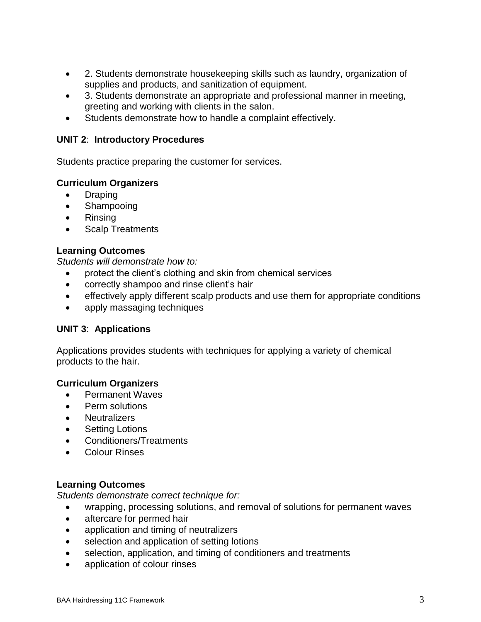- 2. Students demonstrate housekeeping skills such as laundry, organization of supplies and products, and sanitization of equipment.
- 3. Students demonstrate an appropriate and professional manner in meeting, greeting and working with clients in the salon.
- Students demonstrate how to handle a complaint effectively.

# **UNIT 2**: **Introductory Procedures**

Students practice preparing the customer for services.

# **Curriculum Organizers**

- Draping
- Shampooing
- Rinsing
- Scalp Treatments

# **Learning Outcomes**

*Students will demonstrate how to:* 

- protect the client's clothing and skin from chemical services
- correctly shampoo and rinse client's hair
- effectively apply different scalp products and use them for appropriate conditions
- apply massaging techniques

# **UNIT 3**: **Applications**

Applications provides students with techniques for applying a variety of chemical products to the hair.

# **Curriculum Organizers**

- Permanent Waves
- Perm solutions
- Neutralizers
- Setting Lotions
- Conditioners/Treatments
- Colour Rinses

# **Learning Outcomes**

*Students demonstrate correct technique for:*

- wrapping, processing solutions, and removal of solutions for permanent waves
- aftercare for permed hair
- application and timing of neutralizers
- selection and application of setting lotions
- selection, application, and timing of conditioners and treatments
- application of colour rinses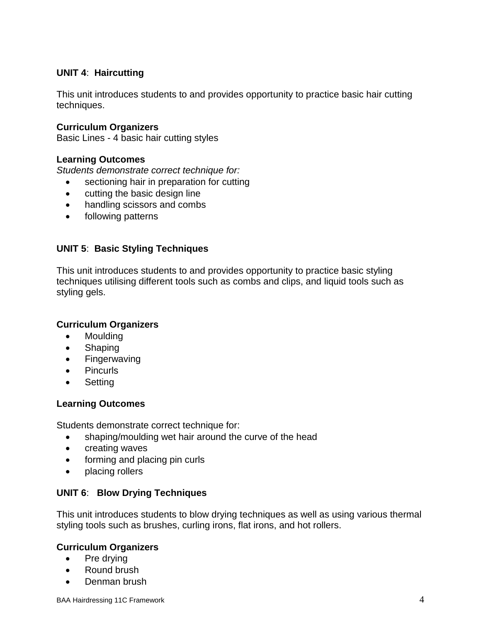# **UNIT 4**: **Haircutting**

This unit introduces students to and provides opportunity to practice basic hair cutting techniques.

### **Curriculum Organizers**

Basic Lines - 4 basic hair cutting styles

### **Learning Outcomes**

*Students demonstrate correct technique for:*

- sectioning hair in preparation for cutting
- cutting the basic design line
- handling scissors and combs
- following patterns

# **UNIT 5**: **Basic Styling Techniques**

This unit introduces students to and provides opportunity to practice basic styling techniques utilising different tools such as combs and clips, and liquid tools such as styling gels.

#### **Curriculum Organizers**

- Moulding
- Shaping
- Fingerwaving
- Pincurls
- **Setting**

#### **Learning Outcomes**

Students demonstrate correct technique for:

- shaping/moulding wet hair around the curve of the head
- creating waves
- forming and placing pin curls
- placing rollers

# **UNIT 6**: **Blow Drying Techniques**

This unit introduces students to blow drying techniques as well as using various thermal styling tools such as brushes, curling irons, flat irons, and hot rollers.

#### **Curriculum Organizers**

- Pre drying
- Round brush
- Denman brush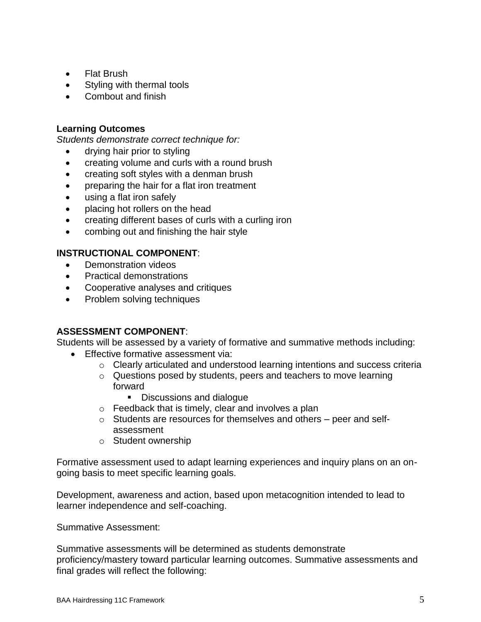- Flat Brush
- Styling with thermal tools
- Combout and finish

# **Learning Outcomes**

*Students demonstrate correct technique for:*

- drying hair prior to styling
- creating volume and curls with a round brush
- creating soft styles with a denman brush
- preparing the hair for a flat iron treatment
- using a flat iron safely
- placing hot rollers on the head
- creating different bases of curls with a curling iron
- combing out and finishing the hair style

# **INSTRUCTIONAL COMPONENT**:

- Demonstration videos
- Practical demonstrations
- Cooperative analyses and critiques
- Problem solving techniques

# **ASSESSMENT COMPONENT**:

Students will be assessed by a variety of formative and summative methods including:

- **Effective formative assessment via:** 
	- o Clearly articulated and understood learning intentions and success criteria
	- o Questions posed by students, peers and teachers to move learning forward
		- Discussions and dialogue
	- o Feedback that is timely, clear and involves a plan
	- o Students are resources for themselves and others peer and selfassessment
	- o Student ownership

Formative assessment used to adapt learning experiences and inquiry plans on an ongoing basis to meet specific learning goals.

Development, awareness and action, based upon metacognition intended to lead to learner independence and self-coaching.

Summative Assessment:

Summative assessments will be determined as students demonstrate proficiency/mastery toward particular learning outcomes. Summative assessments and final grades will reflect the following: